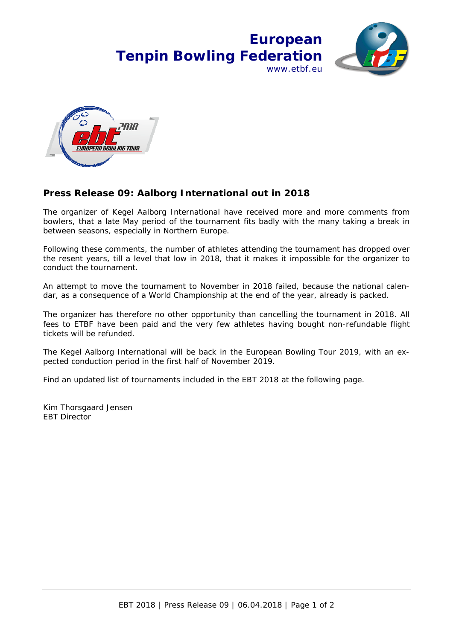



## **Press Release 09: Aalborg International out in 2018**

The organizer of Kegel Aalborg International have received more and more comments from bowlers, that a late May period of the tournament fits badly with the many taking a break in between seasons, especially in Northern Europe.

Following these comments, the number of athletes attending the tournament has dropped over the resent years, till a level that low in 2018, that it makes it impossible for the organizer to conduct the tournament.

An attempt to move the tournament to November in 2018 failed, because the national calendar, as a consequence of a World Championship at the end of the year, already is packed.

The organizer has therefore no other opportunity than cancelling the tournament in 2018. All fees to ETBF have been paid and the very few athletes having bought non-refundable flight tickets will be refunded.

The Kegel Aalborg International will be back in the European Bowling Tour 2019, with an expected conduction period in the first half of November 2019.

Find an updated list of tournaments included in the EBT 2018 at the following page.

Kim Thorsgaard Jensen EBT Director